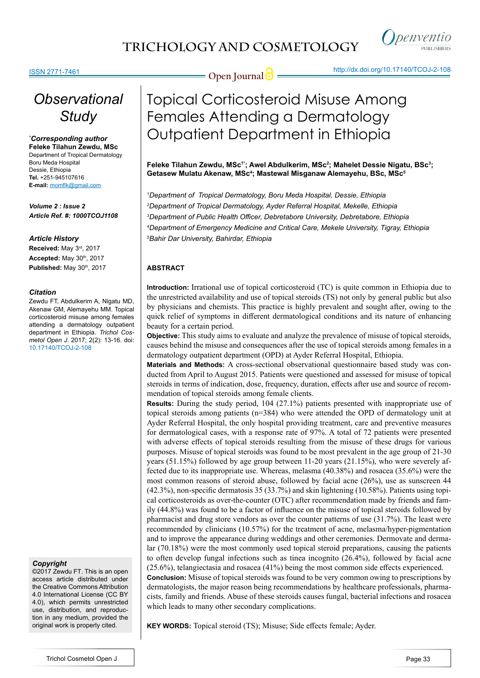## **TRICHOLOGY AND COSMETOLOGY**



#### ISSN 2771-7461

**Open Journal @** http://dx.doi.org/[10.17140/TCOJ-2-108](http://dx.doi.org/10.17140/TCOJ-2-108)

## *Observational Study*

#### *\* Corresponding author*

**Feleke Tilahun Zewdu, MSc** Department of Tropical Dermatology Boru Meda Hospital Dessie, Ethiopia **Tel.** +251-945107616 **E-mail:** momflk@gmail.com

*Volume 2 : Issue 2 Article Ref. #: 1000TCOJ1108*

#### *Article History*

**Received:** May 3rd, 2017 **Accepted:** May 30th, 2017 **Published:** May 30<sup>th</sup>, 2017

#### *Citation*

Zewdu FT, Abdulkerim A, Nigatu MD, Akenaw GM, Alemayehu MM. Topical corticosteroid misuse among females attending a dermatology outpatient department in Ethiopia. *Trichol Cosmetol Open J*. 2017; 2(2): 13-16. doi: [10.17140/TCOJ-2-108](http://dx.doi.org/10.17140/TCOJ-2-108)

#### *Copyright*

©2017 Zewdu FT. This is an open access article distributed under the Creative Commons Attribution 4.0 International License (CC BY 4.0), which permits unrestricted use, distribution, and reproduction in any medium, provided the original work is properly cited.

# Topical Corticosteroid Misuse Among Females Attending a Dermatology Outpatient Department in Ethiopia

Feleke Tilahun Zewdu, MSc<sup>1</sup>'; Awel Abdulkerim, MSc<sup>2</sup>; Mahelet Dessie Nigatu, BSc<sup>3</sup>; **Getasew Mulatu Akenaw, MSc4 ; Mastewal Misganaw Alemayehu, BSc, MSc5**

 *Department of Tropical Dermatology, Boru Meda Hospital, Dessie, Ethiopia Department of Tropical Dermatology, Ayder Referral Hospital, Mekelle, Ethiopia Department of Public Health Officer, Debretabore University, Debretabore, Ethiopia Department of Emergency Medicine and Critical Care, Mekele University, Tigray, Ethiopia Bahir Dar University, Bahirdar, Ethiopia*

#### **ABSTRACT**

**Introduction:** Irrational use of topical corticosteroid (TC) is quite common in Ethiopia due to the unrestricted availability and use of topical steroids (TS) not only by general public but also by physicians and chemists. This practice is highly prevalent and sought after, owing to the quick relief of symptoms in different dermatological conditions and its nature of enhancing beauty for a certain period.

**Objective:** This study aims to evaluate and analyze the prevalence of misuse of topical steroids, causes behind the misuse and consequences after the use of topical steroids among females in a dermatology outpatient department (OPD) at Ayder Referral Hospital, Ethiopia.

**Materials and Methods:** A cross-sectional observational questionnaire based study was conducted from April to August 2015. Patients were questioned and assessed for misuse of topical steroids in terms of indication, dose, frequency, duration, effects after use and source of recommendation of topical steroids among female clients.

**Results:** During the study period, 104 (27.1%) patients presented with inappropriate use of topical steroids among patients (n=384) who were attended the OPD of dermatology unit at Ayder Referral Hospital, the only hospital providing treatment, care and preventive measures for dermatological cases, with a response rate of 97%. A total of 72 patients were presented with adverse effects of topical steroids resulting from the misuse of these drugs for various purposes. Misuse of topical steroids was found to be most prevalent in the age group of 21-30 years (51.15%) followed by age group between 11-20 years (21.15%), who were severely affected due to its inappropriate use. Whereas, melasma (40.38%) and rosacea (35.6%) were the most common reasons of steroid abuse, followed by facial acne (26%), use as sunscreen 44 (42.3%), non-specific dermatosis 35 (33.7%) and skin lightening (10.58%). Patients using topical corticosteroids as over-the-counter (OTC) after recommendation made by friends and family (44.8%) was found to be a factor of influence on the misuse of topical steroids followed by pharmacist and drug store vendors as over the counter patterns of use (31.7%). The least were recommended by clinicians (10.57%) for the treatment of acne, melasma/hyper-pigmentation and to improve the appearance during weddings and other ceremonies. Dermovate and dermalar (70.18%) were the most commonly used topical steroid preparations, causing the patients to often develop fungal infections such as tinea incognito (26.4%), followed by facial acne (25.6%), telangiectasia and rosacea (41%) being the most common side effects experienced.

**Conclusion:** Misuse of topical steroids was found to be very common owing to prescriptions by dermatologists, the major reason being recommendations by healthcare professionals, pharmacists, family and friends. Abuse of these steroids causes fungal, bacterial infections and rosacea which leads to many other secondary complications.

**KEY WORDS:** Topical steroid (TS); Misuse; Side effects female; Ayder.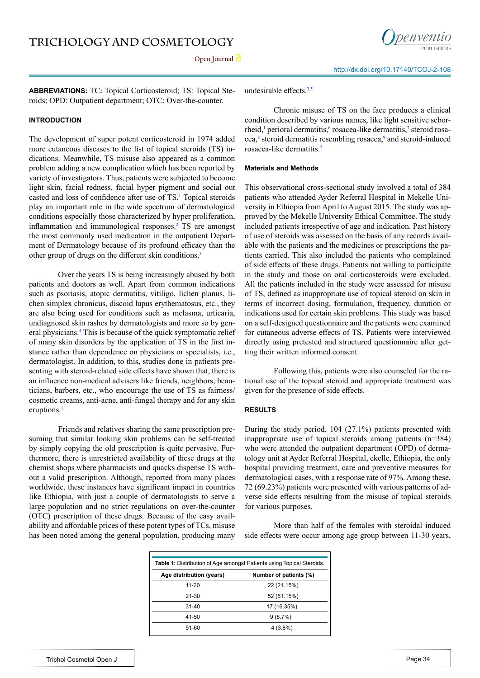Open Journal<sup>1</sup>



**ABBREVIATIONS:** TC**:** Topical Corticosteroid; TS: Topical Steroids; OPD: Outpatient department; OTC: Over-the-counter.

#### **INTRODUCTION**

The development of super potent corticosteroid in 1974 added more cutaneous diseases to the list of topical steroids (TS) indications. Meanwhile, TS misuse also appeared as a common problem adding a new complication which has been reported by variety of investigators. Thus, patients were subjected to become light skin, facial redness, facial hyper pigment and social out casted and loss of confidence after use of TS.<sup>[1](#page-3-0)</sup> Topical steroids play an important role in the wide spectrum of dermatological conditions especially those characterized by hyper proliferation, inflammation and immunological responses.<sup>[2](#page-3-1)</sup> TS are amongst the most commonly used medication in the outpatient Department of Dermatology because of its profound efficacy than the other group of drugs on the different skin conditions.<sup>[3](#page-3-2)</sup>

Over the years TS is being increasingly abused by both patients and doctors as well. Apart from common indications such as psoriasis, atopic dermatitis, vitiligo, lichen planus, lichen simplex chronicus, discoid lupus erythematosus, etc., they are also being used for conditions such as melasma, urticaria, undiagnosed skin rashes by dermatologists and more so by general physicians.<sup>4</sup> This is because of the quick symptomatic relief of many skin disorders by the application of TS in the first instance rather than dependence on physicians or specialists, i.e., dermatologist. In addition, to this, studies done in patients presenting with steroid-related side effects have shown that, there is an influence non-medical advisers like friends, neighbors, beauticians, barbers, etc., who encourage the use of TS as fairness/ cosmetic creams, anti-acne, anti-fungal therapy and for any skin eruptions.<sup>[1](#page-3-0)</sup>

Friends and relatives sharing the same prescription presuming that similar looking skin problems can be self-treated by simply copying the old prescription is quite pervasive. Furthermore, there is unrestricted availability of these drugs at the chemist shops where pharmacists and quacks dispense TS without a valid prescription. Although, reported from many places worldwide, these instances have significant impact in countries like Ethiopia, with just a couple of dermatologists to serve a large population and no strict regulations on over-the-counter (OTC) prescription of these drugs. Because of the easy availability and affordable prices of these potent types of TCs, misuse has been noted among the general population, producing many

undesirable effects. $3,5$ 

Chronic misuse of TS on the face produces a clinical condition described by various names, like light sensitive sebor-rheid,<sup>[1](#page-3-0)</sup> perioral dermatitis,<sup>6</sup> rosacea-like dermatitis,<sup>7</sup> steroid rosacea,<sup>8</sup> steroid dermatitis resembling rosacea,<sup>9</sup> and steroid-induced rosacea-like dermatitis.[7](#page-3-5)

#### **Materials and Methods**

This observational cross-sectional study involved a total of 384 patients who attended Ayder Referral Hospital in Mekelle University in Ethiopia from April to August 2015. The study was approved by the Mekelle University Ethical Committee. The study included patients irrespective of age and indication. Past history of use of steroids was assessed on the basis of any records available with the patients and the medicines or prescriptions the patients carried. This also included the patients who complained of side effects of these drugs. Patients not willing to participate in the study and those on oral corticosteroids were excluded. All the patients included in the study were assessed for misuse of TS, defined as inappropriate use of topical steroid on skin in terms of incorrect dosing, formulation, frequency, duration or indications used for certain skin problems. This study was based on a self-designed questionnaire and the patients were examined for cutaneous adverse effects of TS. Patients were interviewed directly using pretested and structured questionnaire after getting their written informed consent.

Following this, patients were also counseled for the rational use of the topical steroid and appropriate treatment was given for the presence of side effects.

#### **RESULTS**

During the study period, 104 (27.1%) patients presented with inappropriate use of topical steroids among patients (n=384) who were attended the outpatient department (OPD) of dermatology unit at Ayder Referral Hospital, ekelle, Ethiopia, the only hospital providing treatment, care and preventive measures for dermatological cases, with a response rate of 97%. Among these, 72 (69.23%) patients were presented with various patterns of adverse side effects resulting from the misuse of topical steroids for various purposes.

More than half of the females with steroidal induced side effects were occur among age group between 11-30 years,

| <b>Table 1:</b> Distribution of Age amongst Patients using Topical Steroids. |  |  |  |
|------------------------------------------------------------------------------|--|--|--|
| Number of patients (%)                                                       |  |  |  |
| 22 (21.15%)                                                                  |  |  |  |
| 52 (51.15%)                                                                  |  |  |  |
| 17 (16.35%)                                                                  |  |  |  |
| 9(8.7%)                                                                      |  |  |  |
| $4(3.8\%)$                                                                   |  |  |  |
|                                                                              |  |  |  |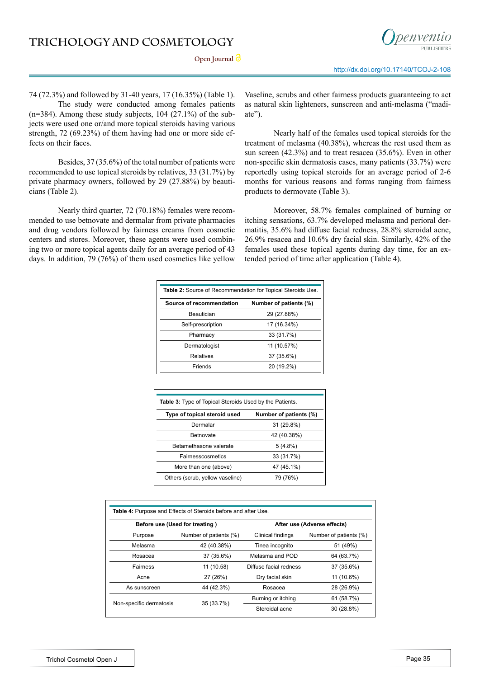



74 (72.3%) and followed by 31-40 years, 17 (16.35%) (Table 1). The study were conducted among females patients

 $(n=384)$ . Among these study subjects, 104 (27.1%) of the subjects were used one or/and more topical steroids having various strength, 72 (69.23%) of them having had one or more side effects on their faces.

Besides, 37 (35.6%) of the total number of patients were recommended to use topical steroids by relatives, 33 (31.7%) by private pharmacy owners, followed by 29 (27.88%) by beauticians (Table 2).

Nearly third quarter, 72 (70.18%) females were recommended to use betnovate and dermalar from private pharmacies and drug vendors followed by fairness creams from cosmetic centers and stores. Moreover, these agents were used combining two or more topical agents daily for an average period of 43 days. In addition, 79 (76%) of them used cosmetics like yellow

Vaseline, scrubs and other fairness products guaranteeing to act as natural skin lighteners, sunscreen and anti-melasma ("madiate").

Nearly half of the females used topical steroids for the treatment of melasma (40.38%), whereas the rest used them as sun screen (42.3%) and to treat resacea (35.6%). Even in other non-specific skin dermatosis cases, many patients (33.7%) were reportedly using topical steroids for an average period of 2-6 months for various reasons and forms ranging from fairness products to dermovate (Table 3).

Moreover, 58.7% females complained of burning or itching sensations, 63.7% developed melasma and perioral dermatitis, 35.6% had diffuse facial redness, 28.8% steroidal acne, 26.9% resacea and 10.6% dry facial skin. Similarly, 42% of the females used these topical agents during day time, for an extended period of time after application (Table 4).

| Table 2: Source of Recommendation for Topical Steroids Use. |                        |  |  |
|-------------------------------------------------------------|------------------------|--|--|
| Source of recommendation                                    | Number of patients (%) |  |  |
| Beautician                                                  | 29 (27.88%)            |  |  |
| Self-prescription                                           | 17 (16.34%)            |  |  |
| Pharmacy                                                    | 33 (31.7%)             |  |  |
| Dermatologist                                               | 11 (10.57%)            |  |  |
| <b>Relatives</b>                                            | 37 (35.6%)             |  |  |
| Friends                                                     | 20 (19.2%)             |  |  |

| <b>Table 3:</b> Type of Topical Steroids Used by the Patients. |                        |  |  |  |
|----------------------------------------------------------------|------------------------|--|--|--|
| Type of topical steroid used                                   | Number of patients (%) |  |  |  |
| Dermalar                                                       | 31 (29.8%)             |  |  |  |
| <b>Betnovate</b>                                               | 42 (40.38%)            |  |  |  |
| Betamethasone valerate                                         | $5(4.8\%)$             |  |  |  |
| Fairnesscosmetics                                              | 33 (31.7%)             |  |  |  |
| More than one (above)                                          | 47 (45.1%)             |  |  |  |
| Others (scrub, yellow vaseline)                                | 79 (76%)               |  |  |  |

| Table 4: Purpose and Effects of Steroids before and after Use. |                        |                             |                        |  |  |
|----------------------------------------------------------------|------------------------|-----------------------------|------------------------|--|--|
| Before use (Used for treating)                                 |                        | After use (Adverse effects) |                        |  |  |
| Purpose                                                        | Number of patients (%) | Clinical findings           | Number of patients (%) |  |  |
| Melasma                                                        | 42 (40.38%)            | Tinea incognito             | 51 (49%)               |  |  |
| Rosacea                                                        | 37 (35.6%)             | Melasma and POD             | 64 (63.7%)             |  |  |
| Fairness                                                       | 11 (10.58)             | Diffuse facial redness      | 37 (35.6%)             |  |  |
| Acne                                                           | 27 (26%)               | Dry facial skin             | 11 (10.6%)             |  |  |
| As sunscreen                                                   | 44 (42.3%)             | Rosacea                     | 28 (26.9%)             |  |  |
| Non-specific dermatosis                                        |                        | Burning or itching          | 61 (58.7%)             |  |  |
|                                                                | 35 (33.7%)             | Steroidal acne              | 30 (28.8%)             |  |  |